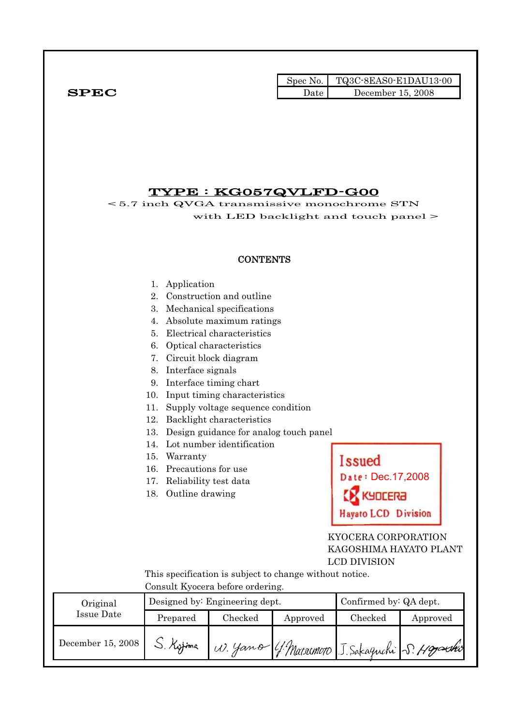|              |      | Spec No. $\vert$ TQ3C-8EAS0-E1DAU13-00 |
|--------------|------|----------------------------------------|
| ${\bf SPEC}$ | Date | December 15, 2008                      |

### TYPE : KG057QVLFD-G00

< 5.7 inch QVGA transmissive monochrome STN with LED backlight and touch panel >

### **CONTENTS**

### 1. Application

- 2. Construction and outline
- 3. Mechanical specifications
- 4. Absolute maximum ratings
- 5. Electrical characteristics
- 6. Optical characteristics
- 7. Circuit block diagram
- 8. Interface signals
- 9. Interface timing chart
- 10. Input timing characteristics
- 11. Supply voltage sequence condition
- 12. Backlight characteristics
- 13. Design guidance for analog touch panel
- 14. Lot number identification
- 15. Warranty
- 16. Precautions for use
- 17. Reliability test data
- 18. Outline drawing



### KYOCERA CORPORATION KAGOSHIMA HAYATO PLANT LCD DIVISION

 This specification is subject to change without notice. Consult Kyocera before ordering.

| Original          |           | Designed by: Engineering dept. | Confirmed by: QA dept. |         |                                               |
|-------------------|-----------|--------------------------------|------------------------|---------|-----------------------------------------------|
| Issue Date        | Prepared  | Checked                        | Approved               | Checked | Approved                                      |
| December 15, 2008 | S. Kyjima |                                |                        |         | W. Yamo 4 Matsomoro J. Sakaguchi S. Hogoschio |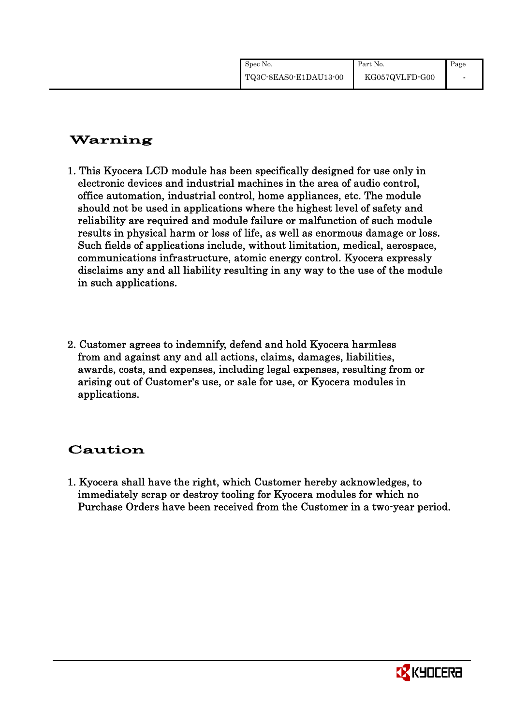| Spec No.              | Part No.       | Page |
|-----------------------|----------------|------|
| TQ3C-8EAS0-E1DAU13-00 | KG057QVLFD-G00 |      |

# Warning

- 1. This Kyocera LCD module has been specifically designed for use only in electronic devices and industrial machines in the area of audio control, office automation, industrial control, home appliances, etc. The module should not be used in applications where the highest level of safety and reliability are required and module failure or malfunction of such module results in physical harm or loss of life, as well as enormous damage or loss. Such fields of applications include, without limitation, medical, aerospace, communications infrastructure, atomic energy control. Kyocera expressly disclaims any and all liability resulting in any way to the use of the module in such applications.
- 2. Customer agrees to indemnify, defend and hold Kyocera harmless from and against any and all actions, claims, damages, liabilities, awards, costs, and expenses, including legal expenses, resulting from or arising out of Customer's use, or sale for use, or Kyocera modules in applications.

# Caution

1. Kyocera shall have the right, which Customer hereby acknowledges, to immediately scrap or destroy tooling for Kyocera modules for which no Purchase Orders have been received from the Customer in a two-year period.

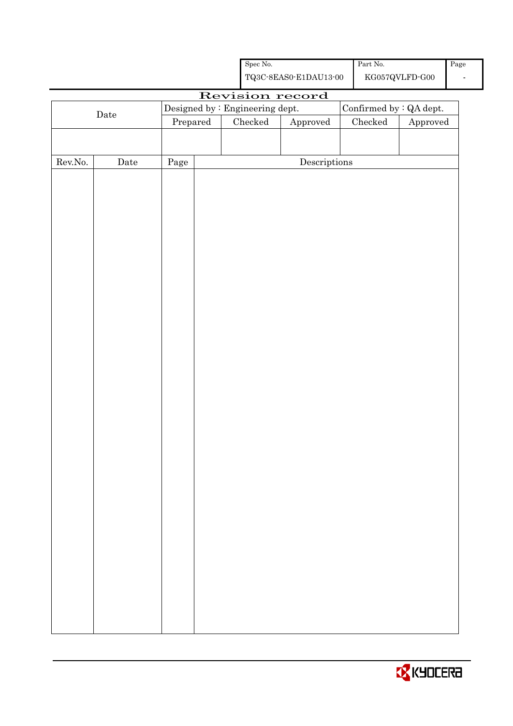| ${\rm Spec}$ No.<br>$\operatorname{Part}$ No.<br>${\rm KG}057{\rm QVLFD}\mbox{-}{\rm GO}0$<br>${\bf TQ3C\text{-}SEAS0\text{-}E1DAU13\text{-}00}$<br>Revision record<br>Confirmed by $:QA$ dept.<br>Designed by : Engineering dept.<br>$\rm{Date}$<br>$\rm Checked$<br>${\it Checked}$<br>Prepared<br>Approved<br>$\label{eq:2} \textbf{Descriptions}$<br>${\rm Rev. No.}$<br>Date<br>Page | Page<br>$\overline{\phantom{a}}$ |
|-------------------------------------------------------------------------------------------------------------------------------------------------------------------------------------------------------------------------------------------------------------------------------------------------------------------------------------------------------------------------------------------|----------------------------------|
|                                                                                                                                                                                                                                                                                                                                                                                           |                                  |
|                                                                                                                                                                                                                                                                                                                                                                                           |                                  |
|                                                                                                                                                                                                                                                                                                                                                                                           |                                  |
|                                                                                                                                                                                                                                                                                                                                                                                           | Approved                         |
|                                                                                                                                                                                                                                                                                                                                                                                           |                                  |
|                                                                                                                                                                                                                                                                                                                                                                                           |                                  |
|                                                                                                                                                                                                                                                                                                                                                                                           |                                  |
|                                                                                                                                                                                                                                                                                                                                                                                           |                                  |
|                                                                                                                                                                                                                                                                                                                                                                                           |                                  |
|                                                                                                                                                                                                                                                                                                                                                                                           |                                  |
|                                                                                                                                                                                                                                                                                                                                                                                           |                                  |
|                                                                                                                                                                                                                                                                                                                                                                                           |                                  |
|                                                                                                                                                                                                                                                                                                                                                                                           |                                  |
|                                                                                                                                                                                                                                                                                                                                                                                           |                                  |
|                                                                                                                                                                                                                                                                                                                                                                                           |                                  |
|                                                                                                                                                                                                                                                                                                                                                                                           |                                  |
|                                                                                                                                                                                                                                                                                                                                                                                           |                                  |
|                                                                                                                                                                                                                                                                                                                                                                                           |                                  |
|                                                                                                                                                                                                                                                                                                                                                                                           |                                  |
|                                                                                                                                                                                                                                                                                                                                                                                           |                                  |
|                                                                                                                                                                                                                                                                                                                                                                                           |                                  |
|                                                                                                                                                                                                                                                                                                                                                                                           |                                  |
|                                                                                                                                                                                                                                                                                                                                                                                           |                                  |
|                                                                                                                                                                                                                                                                                                                                                                                           |                                  |
|                                                                                                                                                                                                                                                                                                                                                                                           |                                  |
|                                                                                                                                                                                                                                                                                                                                                                                           |                                  |
|                                                                                                                                                                                                                                                                                                                                                                                           |                                  |
|                                                                                                                                                                                                                                                                                                                                                                                           |                                  |
|                                                                                                                                                                                                                                                                                                                                                                                           |                                  |
|                                                                                                                                                                                                                                                                                                                                                                                           |                                  |
|                                                                                                                                                                                                                                                                                                                                                                                           |                                  |
|                                                                                                                                                                                                                                                                                                                                                                                           |                                  |
|                                                                                                                                                                                                                                                                                                                                                                                           |                                  |
|                                                                                                                                                                                                                                                                                                                                                                                           |                                  |
|                                                                                                                                                                                                                                                                                                                                                                                           |                                  |
|                                                                                                                                                                                                                                                                                                                                                                                           |                                  |
|                                                                                                                                                                                                                                                                                                                                                                                           |                                  |
|                                                                                                                                                                                                                                                                                                                                                                                           |                                  |
|                                                                                                                                                                                                                                                                                                                                                                                           |                                  |
|                                                                                                                                                                                                                                                                                                                                                                                           |                                  |
|                                                                                                                                                                                                                                                                                                                                                                                           |                                  |
|                                                                                                                                                                                                                                                                                                                                                                                           |                                  |
|                                                                                                                                                                                                                                                                                                                                                                                           |                                  |
|                                                                                                                                                                                                                                                                                                                                                                                           |                                  |

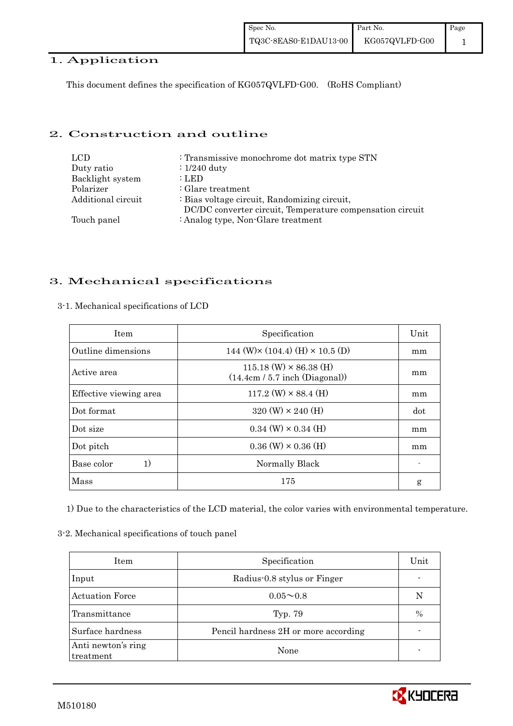### 1. Application

This document defines the specification of KG057QVLFD-G00. (RoHS Compliant)

### 2. Construction and outline

| LCD.               | : Transmissive monochrome dot matrix type STN             |
|--------------------|-----------------------------------------------------------|
| Duty ratio         | $\div 1/240$ duty                                         |
| Backlight system   | : LED                                                     |
| Polarizer          | : Glare treatment                                         |
| Additional circuit | : Bias voltage circuit, Randomizing circuit,              |
|                    | DC/DC converter circuit, Temperature compensation circuit |
| Touch panel        | : Analog type, Non-Glare treatment                        |

### 3. Mechanical specifications

| <b>Item</b>            | Specification                                                     | Unit |
|------------------------|-------------------------------------------------------------------|------|
| Outline dimensions     | 144 (W) $\times$ (104.4) (H) $\times$ 10.5 (D)                    | mm   |
| Active area            | $115.18$ (W) $\times$ 86.38 (H)<br>(14.4cm / 5.7 inch (Diagonal)) | mm   |
| Effective viewing area | $117.2$ (W) $\times$ 88.4 (H)                                     | mm   |
| Dot format             | $320 \text{ (W)} \times 240 \text{ (H)}$                          | dot  |
| Dot size               | $0.34$ (W) $\times$ 0.34 (H)                                      | mm   |
| Dot pitch              | $0.36$ (W) $\times$ 0.36 (H)                                      | mm   |
| Base color<br>1)       | Normally Black                                                    |      |
| Mass                   | 175                                                               | g    |

3-1. Mechanical specifications of LCD

1) Due to the characteristics of the LCD material, the color varies with environmental temperature.

#### 3-2. Mechanical specifications of touch panel

| Item                            | Specification                        | Unit          |
|---------------------------------|--------------------------------------|---------------|
| Input                           | Radius-0.8 stylus or Finger          |               |
| <b>Actuation Force</b>          | $0.05 \sim 0.8$                      | N             |
| Transmittance                   | Typ. 79                              | $\frac{0}{0}$ |
| Surface hardness                | Pencil hardness 2H or more according |               |
| Anti newton's ring<br>treatment | None                                 |               |

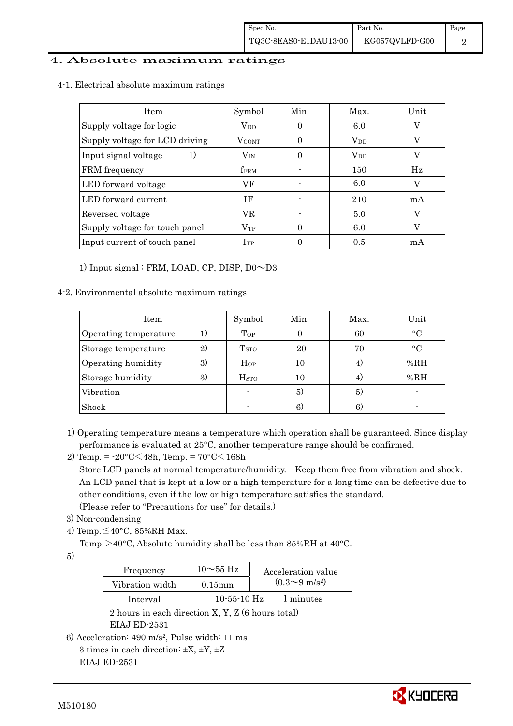### 4. Absolute maximum ratings

| 4-1. Electrical absolute maximum ratings |
|------------------------------------------|
|------------------------------------------|

| Item                           | Symbol            | Min. | Max.                   | Unit |
|--------------------------------|-------------------|------|------------------------|------|
| Supply voltage for logic       | $V_{DD}$          |      | 6.0                    |      |
| Supply voltage for LCD driving | $V_{\text{CONT}}$ | 0    | $\rm V_{DD}$           | V    |
| Input signal voltage<br>1)     | $\rm V_{\rm IN}$  |      | <b>V</b> <sub>DD</sub> | V    |
| FRM frequency                  | <b>fFRM</b>       |      | 150                    | Hz   |
| LED forward voltage            | VF                |      | 6.0                    |      |
| LED forward current            | ΙF                |      | 210                    | mA   |
| Reversed voltage               | VR                |      | 5.0                    | V    |
| Supply voltage for touch panel | $\rm V_{TP}$      | 0    | 6.0                    |      |
| Input current of touch panel   | $I_{TP}$          |      | 0.5                    | mA   |

1) Input signal : FRM, LOAD, CP, DISP,  $D0 \sim D3$ 

### 4-2. Environmental absolute maximum ratings

| Item                  |                | Symbol                  | Min.  | Max. | Unit        |
|-----------------------|----------------|-------------------------|-------|------|-------------|
| Operating temperature |                | Top                     |       | 60   | $^{\circ}C$ |
| Storage temperature   | $\mathfrak{D}$ | T <sub>STO</sub>        | $-20$ | 70   | $^{\circ}C$ |
| Operating humidity    | 3)             | $H_{OP}$                | 10    | 4.   | %RH         |
| Storage humidity      | 3)             | <b>H</b> <sub>sto</sub> | 10    | 4.   | %RH         |
| Vibration             |                |                         | 5)    | 5)   |             |
| Shock                 |                |                         | 6)    | 6.   |             |

- 1) Operating temperature means a temperature which operation shall be guaranteed. Since display performance is evaluated at 25°C, another temperature range should be confirmed.
- 2) Temp. =  $-20^{\circ}$ C $\leq 48h$ , Temp. =  $70^{\circ}$ C $\leq 168h$  Store LCD panels at normal temperature/humidity. Keep them free from vibration and shock. An LCD panel that is kept at a low or a high temperature for a long time can be defective due to other conditions, even if the low or high temperature satisfies the standard. (Please refer to "Precautions for use" for details.)
- 3) Non-condensing
- 4) Temp. $\leq 40^{\circ}$ C, 85%RH Max.
	- Temp. >40°C, Absolute humidity shall be less than 85%RH at 40°C.

5)

| Frequency       | $10\sim$ 55 Hz | Acceleration value           |
|-----------------|----------------|------------------------------|
| Vibration width | $0.15$ mm      | $(0.3 \sim 9 \text{ m/s}^2)$ |
| Interval        | $10-55-10$ Hz  | l minutes                    |
|                 |                |                              |

 2 hours in each direction X, Y, Z (6 hours total) EIAJ ED-2531

6) Acceleration: 490 m/s2, Pulse width: 11 ms 3 times in each direction:  $\pm X$ ,  $\pm Y$ ,  $\pm Z$ 

EIAJ ED-2531

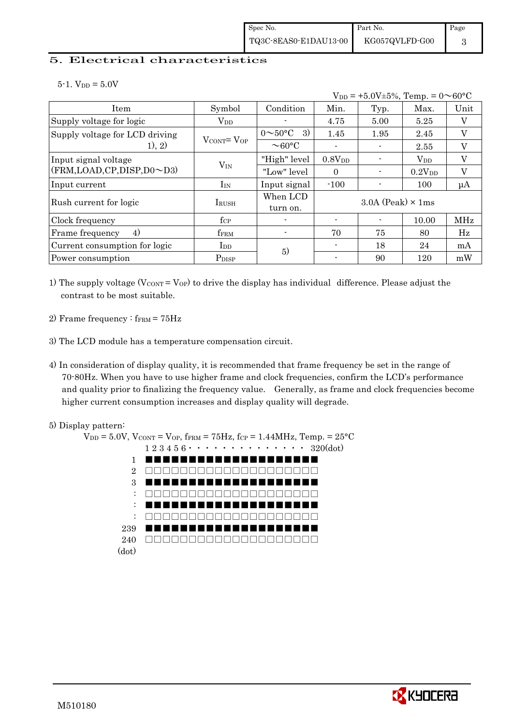### 5. Electrical characteristics

 $5-1.$  V<sub>DD</sub> =  $5.0V$ 

| $V_{DD}$ = +5.0V±5%, Temp. = 0 $\sim$ 60°C |                                   |                             |                            |      |                    |         |
|--------------------------------------------|-----------------------------------|-----------------------------|----------------------------|------|--------------------|---------|
| Item                                       | Symbol                            | Condition                   | Min.                       | Typ. | Max.               | Unit    |
| Supply voltage for logic                   | $V_{DD}$                          |                             | 4.75                       | 5.00 | 5.25               | V       |
| Supply voltage for LCD driving             |                                   | $0 \sim 50^{\circ}$ C<br>3) | 1.45                       | 1.95 | 2.45               | V       |
| 1), 2)                                     | $V_{\text{CONT}} = V_{\text{OP}}$ | $\sim$ 60 $\degree$ C       |                            |      | 2.55               | V       |
| Input signal voltage                       |                                   | "High" level                | 0.8V <sub>DD</sub>         |      | $V_{DD}$           | V       |
| (FRM,LOAD,CP,DISP,D0~D3)                   | $V_{IN}$                          | "Low" level                 | $\Omega$                   |      | 0.2V <sub>DD</sub> | $\rm V$ |
| Input current                              | $I_{IN}$                          | Input signal                | $-100$                     |      | 100                | $\mu A$ |
| Rush current for logic                     | <b>IRUSH</b>                      | When LCD<br>turn on.        | $3.0A$ (Peak) $\times$ 1ms |      |                    |         |
| Clock frequency                            | $f_{\rm CP}$                      |                             |                            |      | 10.00              | MHz     |
| 4)<br>Frame frequency                      | f <sub>FRM</sub>                  |                             | 70                         | 75   | 80                 | Hz      |
| Current consumption for logic              | I <sub>DD</sub>                   | 5)                          |                            | 18   | 24                 | mA      |
| Power consumption                          | P <sub>DISP</sub>                 |                             |                            | 90   | 120                | mW      |

1) The supply voltage ( $V_{\text{CONT}} = V_{\text{OP}}$ ) to drive the display has individual difference. Please adjust the contrast to be most suitable.

- 2) Frame frequency :  $f_{\text{FRM}} = 75 \text{Hz}$
- 3) The LCD module has a temperature compensation circuit.
- 4) In consideration of display quality, it is recommended that frame frequency be set in the range of 70-80Hz. When you have to use higher frame and clock frequencies, confirm the LCD's performance and quality prior to finalizing the frequency value. Generally, as frame and clock frequencies become higher current consumption increases and display quality will degrade.



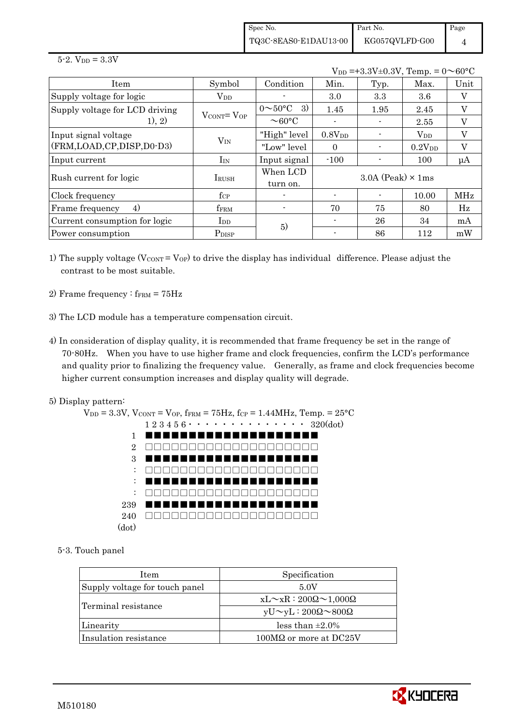Spec No. TQ3C-8EAS0-E1DAU13-00 Part No. KG057QVLFD-G00 Page 4

 $5 - 2.$  V<sub>DD</sub> =  $3.3V$ 

 $V_{DD} = +3.3V \pm 0.3V$ , Temp. =  $0 \sim 60$ °C

| Item                           | Symbol                            | Condition                   | Min.        | Typ.                       | Max.         | Unit                      |
|--------------------------------|-----------------------------------|-----------------------------|-------------|----------------------------|--------------|---------------------------|
| Supply voltage for logic       | $\rm V_{DD}$                      |                             | 3.0         | 3.3                        | 3.6          | $\boldsymbol{\mathrm{V}}$ |
| Supply voltage for LCD driving | $V_{\text{CONT}} = V_{\text{OP}}$ | 3)<br>$0 \sim 50^{\circ}$ C | 1.45        | 1.95                       | 2.45         | V                         |
| 1), 2)                         |                                   | $\sim$ 60 $\degree$ C       |             |                            | 2.55         | V                         |
| Input signal voltage           |                                   | "High" level                | $0.8V_{DD}$ |                            | $\rm V_{DD}$ | V                         |
| (FRM,LOAD,CP,DISP,D0-D3)       | $V_{IN}$                          | "Low" level                 | $\Omega$    |                            | $0.2V_{DD}$  | V                         |
| Input current                  | $I_{IN}$                          | Input signal                | $-100$      |                            | 100          | μA                        |
| Rush current for logic         | <b>I</b> RUSH                     | When LCD                    |             | $3.0A$ (Peak) $\times$ 1ms |              |                           |
|                                |                                   | turn on.                    |             |                            |              |                           |
| Clock frequency                | $f_{\rm CP}$                      |                             |             |                            | 10.00        | MHz                       |
| 4)<br>Frame frequency          | $f_{\rm FRM}$                     |                             | 70          | 75                         | 80           | Hz                        |
| Current consumption for logic  | $\rm{I}_{DD}$                     | 5)                          |             | 26                         | 34           | mA                        |
| Power consumption              | P <sub>DISP</sub>                 |                             |             | 86                         | 112          | mW                        |

- 1) The supply voltage ( $V_{\text{CONT}} = V_{\text{OP}}$ ) to drive the display has individual difference. Please adjust the contrast to be most suitable.
- 2) Frame frequency :  $f_{\text{FRM}} = 75 \text{Hz}$
- 3) The LCD module has a temperature compensation circuit.
- 4) In consideration of display quality, it is recommended that frame frequency be set in the range of 70-80Hz. When you have to use higher frame and clock frequencies, confirm the LCD's performance and quality prior to finalizing the frequency value. Generally, as frame and clock frequencies become higher current consumption increases and display quality will degrade.
- 5) Display pattern:



5-3. Touch panel

| Item                           | Specification                             |
|--------------------------------|-------------------------------------------|
| Supply voltage for touch panel | 5.0V                                      |
|                                | $xL \sim xR : 200\Omega \sim 1,000\Omega$ |
| Terminal resistance            | $yU \sim yL : 200\Omega \sim 800\Omega$   |
| Linearity                      | less than $\pm 2.0\%$                     |
| Insulation resistance          | $100\text{M}\Omega$ or more at DC25V      |

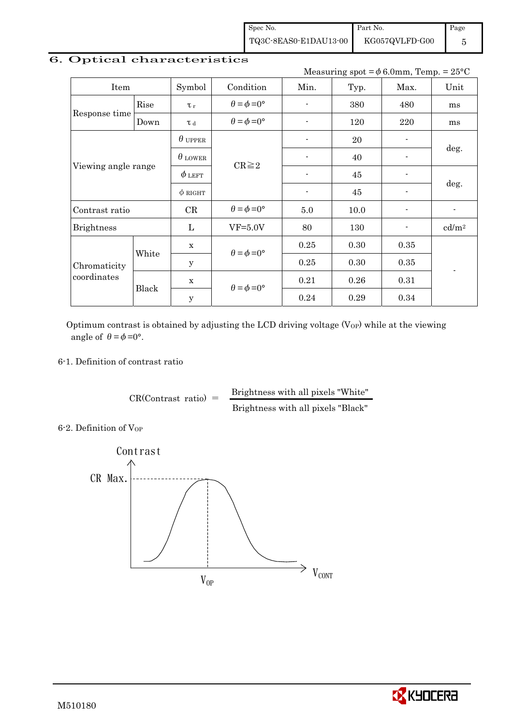Spec No. TQ3C-8EAS0-E1DAU13-00 Part No. KG057QVLFD-G00 Page 5

### 6. Optical characteristics

Measuring spot =  $\phi$  6.0mm, Temp. = 25°C

| Item                        |       | Symbol         | Condition                   | Min.           | Typ. | Max.           | Unit                     |  |
|-----------------------------|-------|----------------|-----------------------------|----------------|------|----------------|--------------------------|--|
|                             | Rise  | $\tau_r$       | $\theta = \phi = 0^{\circ}$ |                | 380  | 480            | ms                       |  |
| Response time               | Down  | T d            | $\theta = \phi = 0^{\circ}$ | $\blacksquare$ | 120  | 220            | ms                       |  |
|                             |       | $\theta$ upper |                             | $\blacksquare$ | 20   | $\blacksquare$ |                          |  |
| Viewing angle range         |       | $\theta$ lower | $CR \geq 2$                 |                | 40   |                | deg.                     |  |
|                             |       | $\phi$ left    |                             |                | 45   |                | deg.                     |  |
|                             |       | $\phi$ RIGHT   |                             | $\blacksquare$ | 45   |                |                          |  |
| Contrast ratio              |       | CR             | $\theta = \phi = 0^{\circ}$ | 5.0            | 10.0 | -              | $\overline{\phantom{a}}$ |  |
| <b>Brightness</b>           |       | L              | $VF=5.0V$                   | 80             | 130  |                | cd/m <sup>2</sup>        |  |
|                             |       | $\mathbf X$    | $\theta = \phi = 0^{\circ}$ | 0.25           | 0.30 | 0.35           |                          |  |
| Chromaticity<br>coordinates | White | $\mathbf y$    |                             | 0.25           | 0.30 | 0.35           |                          |  |
|                             |       | $\mathbf X$    |                             | 0.21           | 0.26 | 0.31           |                          |  |
|                             | Black | $\mathbf y$    | $\theta = \phi = 0^{\circ}$ | 0.24           | 0.29 | 0.34           |                          |  |

Optimum contrast is obtained by adjusting the LCD driving voltage  $(V_{OP})$  while at the viewing angle of  $\theta = \phi = 0^{\circ}$ .

### 6-1. Definition of contrast ratio

 $CR(Contrast ratio) =$  Brightness with all pixels "White" Brightness with all pixels "Black"

6-2. Definition of Vor



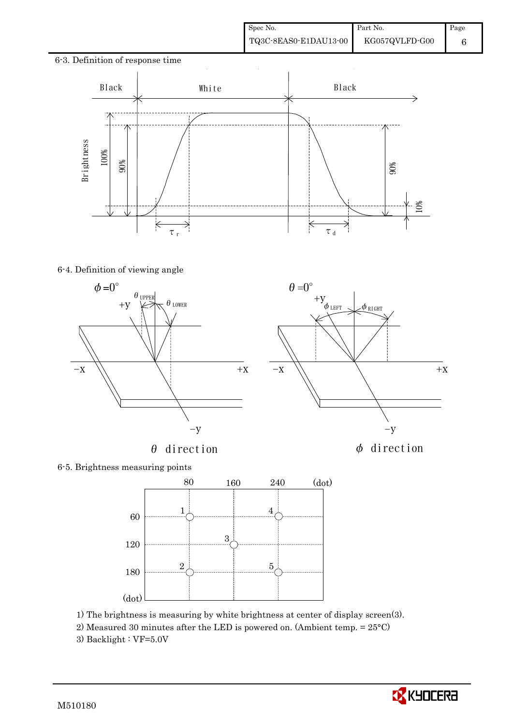

### 6-4. Definition of viewing angle





### 6-5. Brightness measuring points



- 1) The brightness is measuring by white brightness at center of display screen(3).
- 2) Measured 30 minutes after the LED is powered on. (Ambient temp. = 25°C)
- 3) Backlight :  $VF=5.0V$

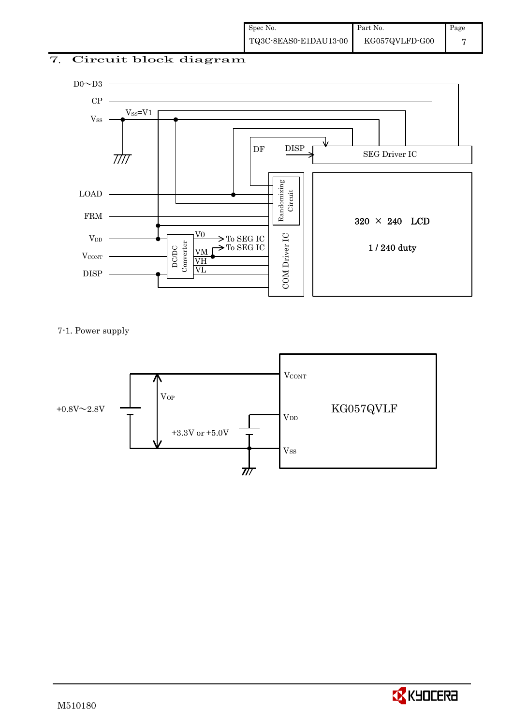# 7. Circuit block diagram



### 7-1. Power supply



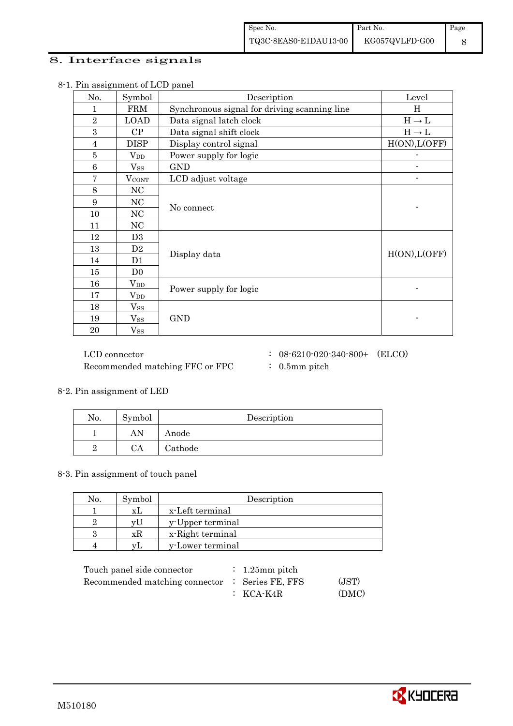### 8. Interface signals

| No.            | Symbol            | Description                                  | Level             |
|----------------|-------------------|----------------------------------------------|-------------------|
| 1              | <b>FRM</b>        | Synchronous signal for driving scanning line | H                 |
| $\overline{2}$ | <b>LOAD</b>       | Data signal latch clock                      | $H\to L$          |
| 3              | CP                | Data signal shift clock                      | $H \rightarrow L$ |
| 4              | <b>DISP</b>       | Display control signal                       | H(ON), L(OFF)     |
| $\overline{5}$ | $V_{DD}$          | Power supply for logic                       |                   |
| $\,6$          | $V_{SS}$          | <b>GND</b>                                   |                   |
| $\overline{7}$ | $V_{\rm CONT}$    | LCD adjust voltage                           |                   |
| 8              | NC                |                                              |                   |
| 9              | NC                | No connect                                   |                   |
| 10             | $_{\mathrm{NC}}$  |                                              |                   |
| 11             | NC                |                                              |                   |
| 12             | D <sub>3</sub>    |                                              |                   |
| 13             | D2                | Display data                                 | H(ON), L(OFF)     |
| 14             | D1                |                                              |                   |
| 15             | D <sub>0</sub>    |                                              |                   |
| 16             | $V_{DD}$          | Power supply for logic                       |                   |
| 17             | $\rm V_{DD}$      |                                              |                   |
| 18             | $V_{SS}$          |                                              |                   |
| 19             | $V_{SS}$          | <b>GND</b>                                   |                   |
| 20             | $\mathrm{V_{SS}}$ |                                              |                   |

8-1. Pin assignment of LCD panel

Recommended matching FFC or FPC : 0.5mm pitch

 $\rm LCD~connector ~~:~~08\mbox{-}6210\mbox{-}020\mbox{-}340\mbox{-}800\mbox{{}+}~~\mbox{(ELCO)}$ 

8-2. Pin assignment of LED

| No. | Symbol | Description |
|-----|--------|-------------|
|     | AN     | Anode       |
|     | CA     | Cathode     |

8-3. Pin assignment of touch panel

| No. | Symbol | Description      |
|-----|--------|------------------|
|     | XL.    | x-Left terminal  |
|     | vU     | y-Upper terminal |
|     | хR     | x-Right terminal |
|     | VL     | y-Lower terminal |

| Touch panel side connector                      | $\therefore$ 1.25 mm pitch |       |
|-------------------------------------------------|----------------------------|-------|
| Recommended matching connector : Series FE, FFS |                            | (JST) |
|                                                 | $\colon$ KCA-K4R           | (DMC) |

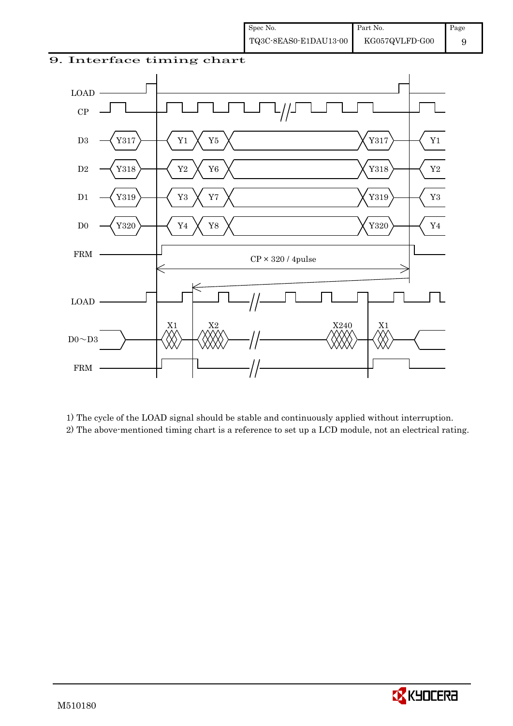



 1) The cycle of the LOAD signal should be stable and continuously applied without interruption. 2) The above-mentioned timing chart is a reference to set up a LCD module, not an electrical rating.

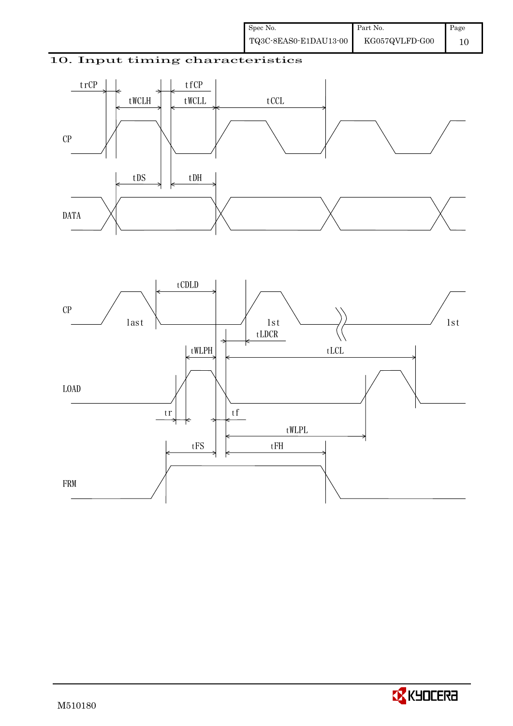### 10. Input timing characteristics





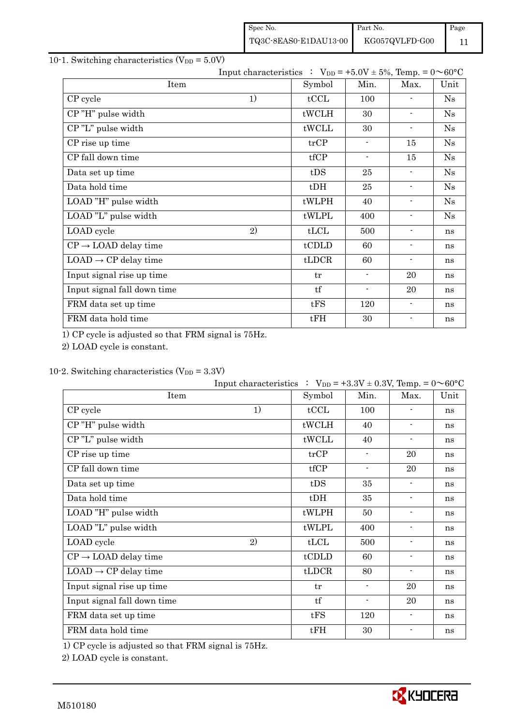| Spec No.              | Part No.       | Page |
|-----------------------|----------------|------|
| TQ3C-8EAS0-E1DAU13-00 | KG057QVLFD-G00 |      |

### 10-1. Switching characteristics ( $V_{DD} = 5.0V$ )

|                                  | Input characteristics : $V_{DD} = +5.0V \pm 5\%$ , Temp. = $0 \sim 60^{\circ}C$ |                |                          |                          |      |
|----------------------------------|---------------------------------------------------------------------------------|----------------|--------------------------|--------------------------|------|
| Item                             |                                                                                 | Symbol         | Min.                     | Max.                     | Unit |
| CP cycle                         | 1)                                                                              | tCCL           | 100                      |                          | Ns   |
| CP"H" pulse width                |                                                                                 | tWCLH          | 30                       | $\overline{\phantom{a}}$ | Ns   |
| CP"L" pulse width                |                                                                                 | tWCLL          | 30                       | $\blacksquare$           | Ns   |
| CP rise up time                  |                                                                                 | trCP           | $\blacksquare$           | 15                       | Ns   |
| CP fall down time                |                                                                                 | tfCP           | $\overline{\phantom{a}}$ | 15                       | Ns   |
| Data set up time                 |                                                                                 | tDS            | 25                       | $\overline{\phantom{a}}$ | Ns   |
| Data hold time                   |                                                                                 | $t$ DH         | 25                       | $\blacksquare$           | Ns   |
| LOAD "H" pulse width             |                                                                                 | tWLPH          | 40                       | $\overline{\phantom{a}}$ | Ns   |
| LOAD "L" pulse width             |                                                                                 | tWLPL          | 400                      | $\blacksquare$           | Ns   |
| LOAD cycle                       | 2)                                                                              | tLCL           | 500                      | $\blacksquare$           | ns   |
| $CP \rightarrow$ LOAD delay time |                                                                                 | tCDLD          | 60                       | $\blacksquare$           | ns   |
| $LOAD \rightarrow CP$ delay time |                                                                                 | $t\text{LDCR}$ | 60                       | $\blacksquare$           | ns   |
| Input signal rise up time        |                                                                                 | tr             | $\blacksquare$           | 20                       | ns   |
| Input signal fall down time      |                                                                                 | tf             | $\blacksquare$           | 20                       | ns   |
| FRM data set up time             |                                                                                 | tFS            | 120                      | $\blacksquare$           | ns   |
| FRM data hold time               |                                                                                 | tFH            | 30                       | $\overline{\phantom{a}}$ | ns   |

1) CP cycle is adjusted so that FRM signal is 75Hz.

2) LOAD cycle is constant.

### 10-2. Switching characteristics  $(V_{DD} = 3.3V)$

|                                  | Input characteristics : $V_{DD} = +3.3V \pm 0.3V$ , Temp. = $0 \sim 60^{\circ}C$ |                |                          |                          |      |
|----------------------------------|----------------------------------------------------------------------------------|----------------|--------------------------|--------------------------|------|
| Item                             |                                                                                  | Symbol         | Min.                     | Max.                     | Unit |
| CP cycle                         | 1)                                                                               | tCCL           | 100                      |                          | ns   |
| CP"H" pulse width                |                                                                                  | tWCLH          | 40                       | $\overline{\phantom{a}}$ | ns   |
| CP"L" pulse width                |                                                                                  | tWCLL          | 40                       | $\overline{\phantom{a}}$ | ns   |
| CP rise up time                  |                                                                                  | trCP           | $\blacksquare$           | 20                       | ns   |
| CP fall down time                |                                                                                  | tfCP           | $\overline{\phantom{a}}$ | 20                       | ns   |
| Data set up time                 |                                                                                  | tDS            | 35                       | $\blacksquare$           | ns   |
| Data hold time                   |                                                                                  | $t$ DH         | 35                       | $\blacksquare$           | ns   |
| LOAD "H" pulse width             |                                                                                  | tWLPH          | 50                       | $\overline{\phantom{a}}$ | ns   |
| LOAD "L" pulse width             |                                                                                  | tWLPL          | 400                      | $\overline{\phantom{a}}$ | ns   |
| LOAD cycle                       | 2)                                                                               | tLCL           | 500                      | ٠                        | ns   |
| $CP \rightarrow$ LOAD delay time |                                                                                  | tCDLD          | 60                       |                          | ns   |
| $LOAD \rightarrow CP$ delay time |                                                                                  | $t\text{LDCR}$ | 80                       | $\blacksquare$           | ns   |
| Input signal rise up time        |                                                                                  | tr             | $\overline{\phantom{a}}$ | 20                       | ns   |
| Input signal fall down time      |                                                                                  | tf             | $\blacksquare$           | 20                       | ns   |
| FRM data set up time             |                                                                                  | tFS            | 120                      | $\blacksquare$           | ns   |
| FRM data hold time               |                                                                                  | tFH            | 30                       | $\blacksquare$           | ns   |

1) CP cycle is adjusted so that FRM signal is 75Hz.

2) LOAD cycle is constant.

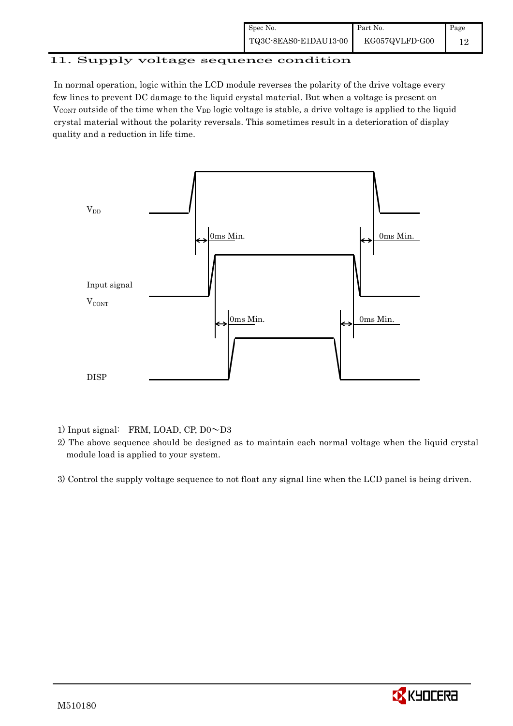| Spec No.              | Part No.       | Page |
|-----------------------|----------------|------|
| TQ3C-8EAS0-E1DAU13-00 | KG057QVLFD-G00 |      |

# 11. Supply voltage sequence condition

 In normal operation, logic within the LCD module reverses the polarity of the drive voltage every few lines to prevent DC damage to the liquid crystal material. But when a voltage is present on  $V_{\text{CONT}}$  outside of the time when the  $V_{\text{DD}}$  logic voltage is stable, a drive voltage is applied to the liquid crystal material without the polarity reversals. This sometimes result in a deterioration of display quality and a reduction in life time.



1) Input signal: FRM, LOAD, CP, D0 $\sim$ D3

 2) The above sequence should be designed as to maintain each normal voltage when the liquid crystal module load is applied to your system.

3) Control the supply voltage sequence to not float any signal line when the LCD panel is being driven.

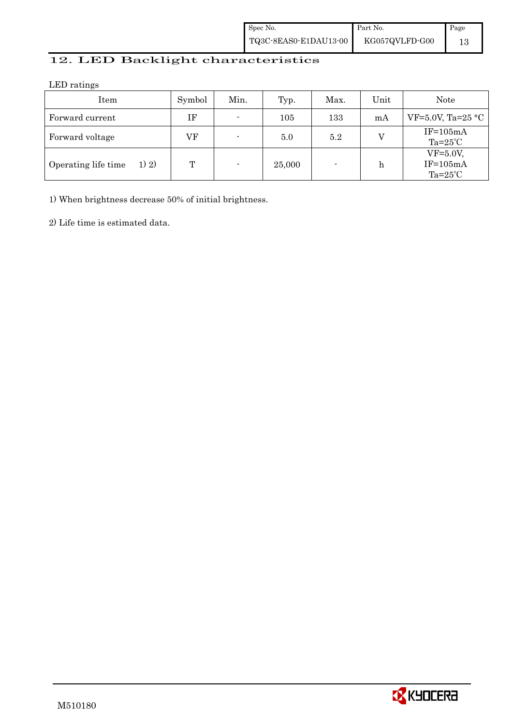| Spec No.              | Part No.       | Page |
|-----------------------|----------------|------|
| TQ3C-8EAS0-E1DAU13-00 | KG057QVLFD-G00 |      |

## 12. LED Backlight characteristics

LED ratings

| Item                         | Symbol | Min.           | Typ.   | Max. | Unit | Note                                            |
|------------------------------|--------|----------------|--------|------|------|-------------------------------------------------|
| Forward current              | ΙF     | $\blacksquare$ | 105    | 133  | mA   | VF=5.0V, Ta=25 $\textdegree$ C                  |
| Forward voltage              | VF     | $\blacksquare$ | 5.0    | 5.2  |      | $IF=105mA$<br>$Ta=25^{\circ}C$                  |
| Operating life time<br>1) 2) | T      | $\blacksquare$ | 25,000 |      | h    | $VF=5.0V$ ,<br>$IF=105mA$<br>Ta= $25^{\circ}$ C |

1) When brightness decrease 50% of initial brightness.

2) Life time is estimated data.

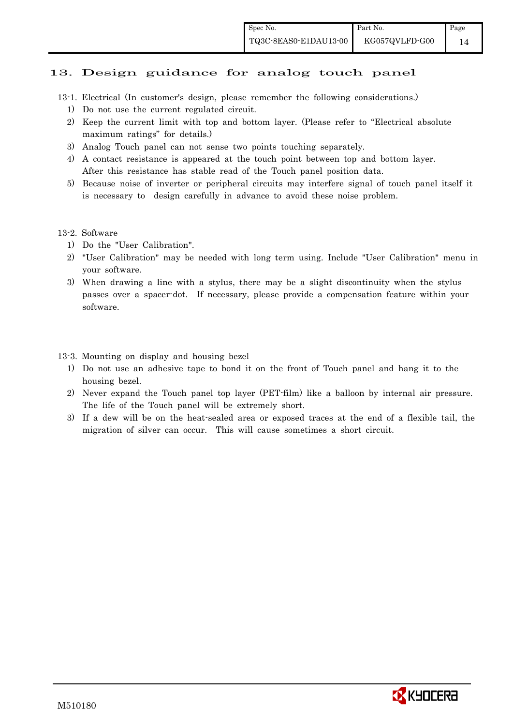### 13. Design guidance for analog touch panel

- 13-1. Electrical (In customer's design, please remember the following considerations.)
	- 1) Do not use the current regulated circuit.
	- 2) Keep the current limit with top and bottom layer. (Please refer to "Electrical absolute maximum ratings" for details.)
	- 3) Analog Touch panel can not sense two points touching separately.
	- 4) A contact resistance is appeared at the touch point between top and bottom layer. After this resistance has stable read of the Touch panel position data.
	- 5) Because noise of inverter or peripheral circuits may interfere signal of touch panel itself it is necessary to design carefully in advance to avoid these noise problem.

### 13-2. Software

- 1) Do the "User Calibration".
- 2) "User Calibration" may be needed with long term using. Include "User Calibration" menu in your software.
- 3) When drawing a line with a stylus, there may be a slight discontinuity when the stylus passes over a spacer-dot. If necessary, please provide a compensation feature within your software.

13-3. Mounting on display and housing bezel

- 1) Do not use an adhesive tape to bond it on the front of Touch panel and hang it to the housing bezel.
- 2) Never expand the Touch panel top layer (PET-film) like a balloon by internal air pressure. The life of the Touch panel will be extremely short.
- 3) If a dew will be on the heat-sealed area or exposed traces at the end of a flexible tail, the migration of silver can occur. This will cause sometimes a short circuit.

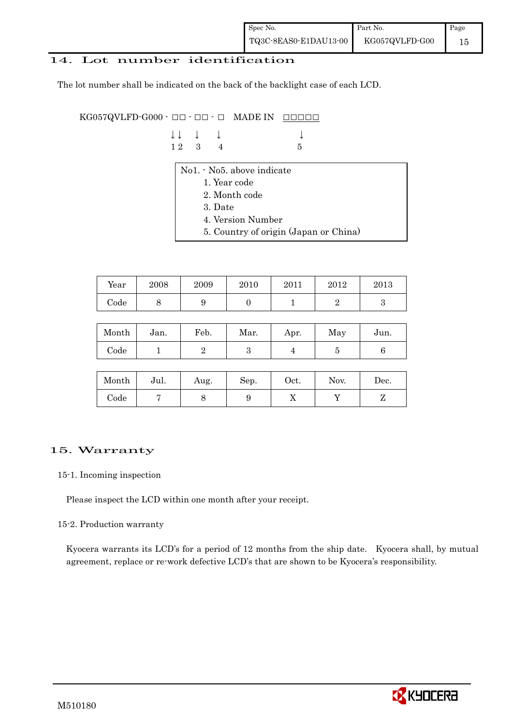| Spec No.              | Part No.       | Page |
|-----------------------|----------------|------|
| TQ3C-8EAS0-E1DAU13-00 | KG057QVLFD-G00 |      |

### 14. Lot number identification

The lot number shall be indicated on the back of the backlight case of each LCD.

 $KG057QVLFD-G000 \cdot \Box \Box \cdot \Box \cdot \Box$  MADE IN  $\Box \Box \Box \Box$ 

| $\downarrow \downarrow \quad \downarrow \quad \downarrow$ |  |      |
|-----------------------------------------------------------|--|------|
| $12 \quad 3 \quad 4$                                      |  | $-5$ |

- No1. No5. above indicate
	- 1. Year code
	- 2. Month code
	- 3. Date
	- 4. Version Number
	- 5. Country of origin (Japan or China)

| Year | 2008 | 2009 | 2010 | 2011 | 2012 | 2013 |
|------|------|------|------|------|------|------|
| Code | ັ    |      |      |      |      |      |

| Month | Jan. | Feb. | Mar. | Apr. | May | Jun. |
|-------|------|------|------|------|-----|------|
| Code  |      |      |      |      |     |      |

| Month      | Jul. | Aug. | Sep. | $_{\rm Oct.}$ | Nov. | $\operatorname{Dec.}$ |
|------------|------|------|------|---------------|------|-----------------------|
| $\rm Code$ |      |      | ັ    | 77            |      |                       |

### 15. Warranty

### 15-1. Incoming inspection

Please inspect the LCD within one month after your receipt.

### 15-2. Production warranty

 Kyocera warrants its LCD's for a period of 12 months from the ship date. Kyocera shall, by mutual agreement, replace or re-work defective LCD's that are shown to be Kyocera's responsibility.

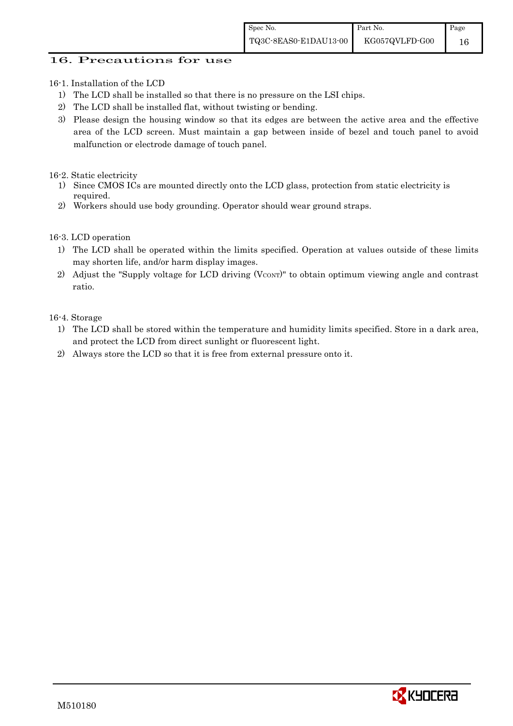### 16. Precautions for use

16-1. Installation of the LCD

- 1) The LCD shall be installed so that there is no pressure on the LSI chips.
- 2) The LCD shall be installed flat, without twisting or bending.
- 3) Please design the housing window so that its edges are between the active area and the effective area of the LCD screen. Must maintain a gap between inside of bezel and touch panel to avoid malfunction or electrode damage of touch panel.

16-2. Static electricity

- 1) Since CMOS ICs are mounted directly onto the LCD glass, protection from static electricity is required.
- 2) Workers should use body grounding. Operator should wear ground straps.

16-3. LCD operation

- 1) The LCD shall be operated within the limits specified. Operation at values outside of these limits may shorten life, and/or harm display images.
- 2) Adjust the "Supply voltage for LCD driving  $(V_{CONT})$ " to obtain optimum viewing angle and contrast ratio.

16-4. Storage

- 1) The LCD shall be stored within the temperature and humidity limits specified. Store in a dark area, and protect the LCD from direct sunlight or fluorescent light.
- 2) Always store the LCD so that it is free from external pressure onto it.

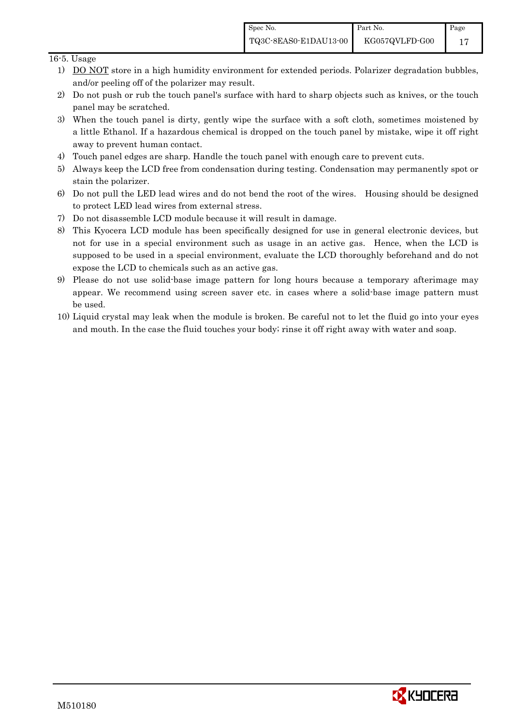### 16-5. Usage

- 1) DO NOT store in a high humidity environment for extended periods. Polarizer degradation bubbles, and/or peeling off of the polarizer may result.
- 2) Do not push or rub the touch panel's surface with hard to sharp objects such as knives, or the touch panel may be scratched.
- 3) When the touch panel is dirty, gently wipe the surface with a soft cloth, sometimes moistened by a little Ethanol. If a hazardous chemical is dropped on the touch panel by mistake, wipe it off right away to prevent human contact.
- 4) Touch panel edges are sharp. Handle the touch panel with enough care to prevent cuts.
- 5) Always keep the LCD free from condensation during testing. Condensation may permanently spot or stain the polarizer.
- 6) Do not pull the LED lead wires and do not bend the root of the wires. Housing should be designed to protect LED lead wires from external stress.
- 7) Do not disassemble LCD module because it will result in damage.
- 8) This Kyocera LCD module has been specifically designed for use in general electronic devices, but not for use in a special environment such as usage in an active gas. Hence, when the LCD is supposed to be used in a special environment, evaluate the LCD thoroughly beforehand and do not expose the LCD to chemicals such as an active gas.
- 9) Please do not use solid-base image pattern for long hours because a temporary afterimage may appear. We recommend using screen saver etc. in cases where a solid-base image pattern must be used.
- 10) Liquid crystal may leak when the module is broken. Be careful not to let the fluid go into your eyes and mouth. In the case the fluid touches your body; rinse it off right away with water and soap.

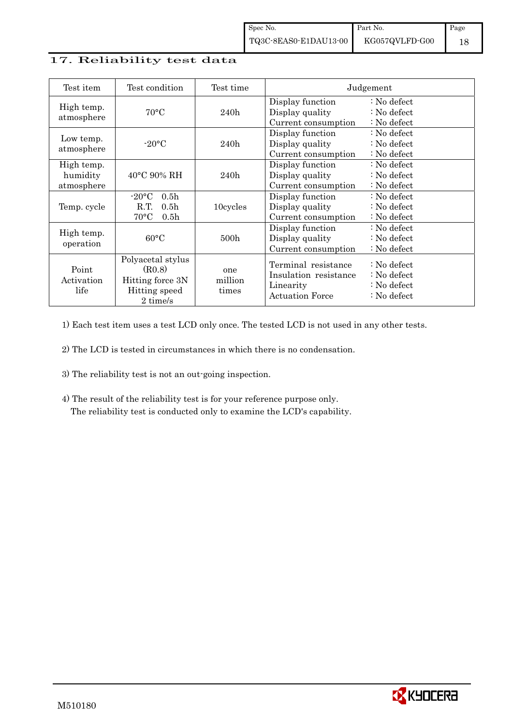### 17. Reliability test data

| Test item                            | Test condition                                                                                           | Test time               |                                                                                     | Judgement                                                                      |
|--------------------------------------|----------------------------------------------------------------------------------------------------------|-------------------------|-------------------------------------------------------------------------------------|--------------------------------------------------------------------------------|
| High temp.<br>atmosphere             | $70^{\circ}$ C                                                                                           | 240h                    | Display function<br>Display quality<br>Current consumption                          | : No defect<br>$\therefore$ No defect<br>: No defect                           |
| Low temp.<br>atmosphere              | $-20\degree C$                                                                                           | 240h                    | Display function<br>Display quality<br>Current consumption                          | : No defect<br>$\therefore$ No defect<br>: No defect                           |
| High temp.<br>humidity<br>atmosphere | $40^{\circ}$ C 90% RH                                                                                    | 240h                    | Display function<br>Display quality<br>Current consumption                          | : No defect<br>$\therefore$ No defect<br>$\therefore$ No defect                |
| Temp. cycle                          | 0.5 <sub>h</sub><br>$-20\textdegree C$<br>R.T.<br>0.5 <sub>h</sub><br>$70^{\circ}$ C<br>0.5 <sub>h</sub> | 10cycles                | Display function<br>Display quality<br>Current consumption                          | : No defect<br>$\therefore$ No defect<br>$\therefore$ No defect                |
| High temp.<br>operation              | $60^{\circ}$ C                                                                                           | 500h                    | Display function<br>Display quality<br>Current consumption                          | : No defect<br>$\therefore$ No defect<br>: No defect                           |
| Point<br>Activation<br>life          | Polyacetal stylus<br>(R0.8)<br>Hitting force 3N<br>Hitting speed<br>2 time/s                             | one<br>million<br>times | Terminal resistance<br>Insulation resistance<br>Linearity<br><b>Actuation Force</b> | $\therefore$ No defect<br>: No defect<br>: No defect<br>$\therefore$ No defect |

1) Each test item uses a test LCD only once. The tested LCD is not used in any other tests.

2) The LCD is tested in circumstances in which there is no condensation.

- 3) The reliability test is not an out-going inspection.
- 4) The result of the reliability test is for your reference purpose only. The reliability test is conducted only to examine the LCD's capability.

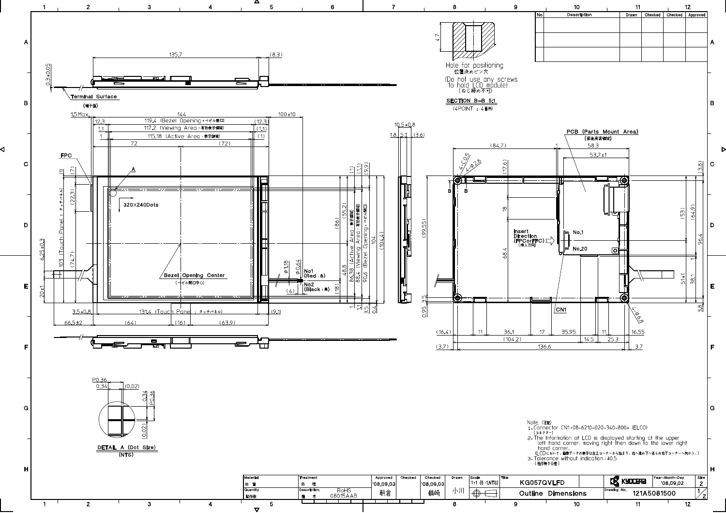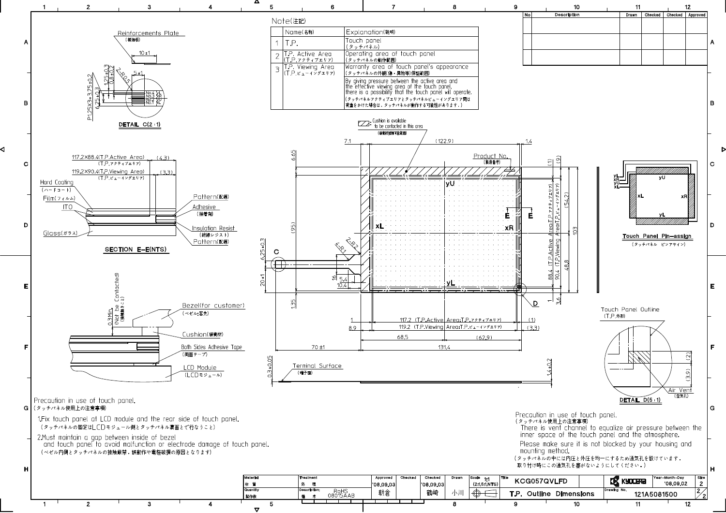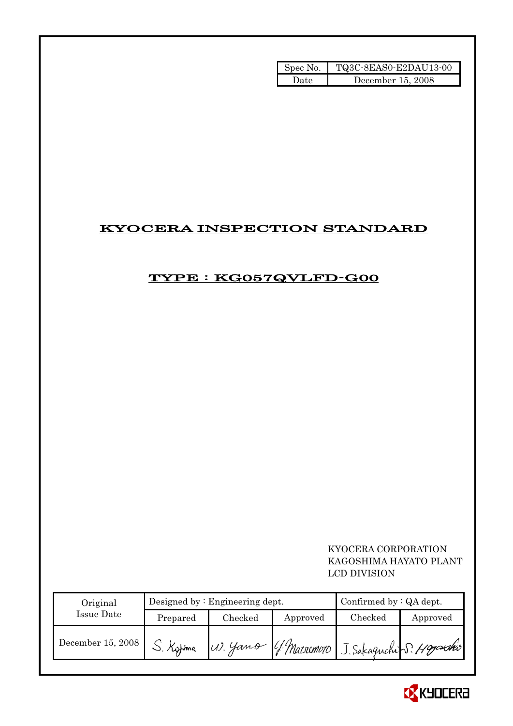| Spec No. | TQ3C-8EAS0-E2DAU13-00 |
|----------|-----------------------|
| Date     | December 15, 2008     |

# KYOCERA INSPECTION STANDARD

## TYPE : KG057QVLFD-G00

### KYOCERA CORPORATION KAGOSHIMA HAYATO PLANT LCD DIVISION

| Original          |           | Designed by $:$ Engineering dept.              |          | Confirmed by $:QA$ dept. |          |
|-------------------|-----------|------------------------------------------------|----------|--------------------------|----------|
| Issue Date        | Prepared  | Checked                                        | Approved | Checked                  | Approved |
| December 15, 2008 | S. Kytima | W. Yano G. Matsumoto J. Sakaguchi S. Hggarshis |          |                          |          |

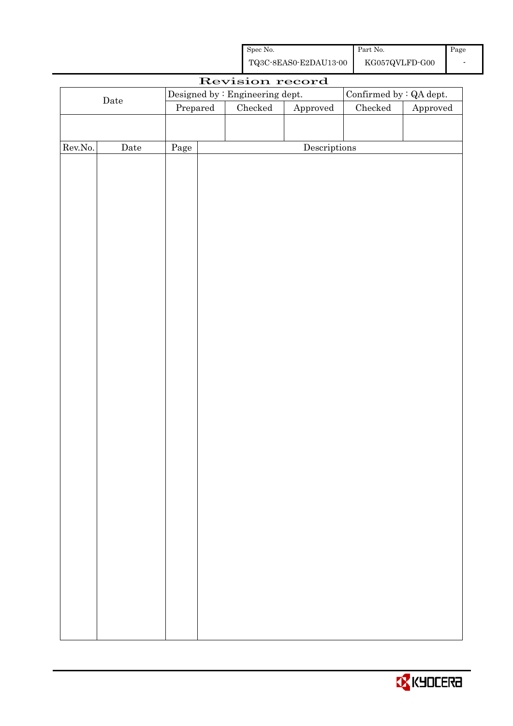| Spec No.              | Part No.       | Page |
|-----------------------|----------------|------|
| TQ3C-8EAS0-E2DAU13-00 | KG057QVLFD-G00 |      |

|         | Revision record      |          |  |                                 |                        |                         |          |
|---------|----------------------|----------|--|---------------------------------|------------------------|-------------------------|----------|
|         |                      |          |  | Designed by : Engineering dept. |                        | Confirmed by : QA dept. |          |
|         | $\rm{\textbf{Date}}$ | Prepared |  | Checked                         | ${\Large\bf Approved}$ | $\rm Checked$           | Approved |
|         |                      |          |  |                                 |                        |                         |          |
|         |                      |          |  |                                 |                        |                         |          |
| Rev.No. | $\rm{Date}$          | Page     |  |                                 | Descriptions           |                         |          |
|         |                      |          |  |                                 |                        |                         |          |
|         |                      |          |  |                                 |                        |                         |          |
|         |                      |          |  |                                 |                        |                         |          |
|         |                      |          |  |                                 |                        |                         |          |
|         |                      |          |  |                                 |                        |                         |          |
|         |                      |          |  |                                 |                        |                         |          |
|         |                      |          |  |                                 |                        |                         |          |
|         |                      |          |  |                                 |                        |                         |          |
|         |                      |          |  |                                 |                        |                         |          |
|         |                      |          |  |                                 |                        |                         |          |
|         |                      |          |  |                                 |                        |                         |          |
|         |                      |          |  |                                 |                        |                         |          |
|         |                      |          |  |                                 |                        |                         |          |
|         |                      |          |  |                                 |                        |                         |          |
|         |                      |          |  |                                 |                        |                         |          |
|         |                      |          |  |                                 |                        |                         |          |
|         |                      |          |  |                                 |                        |                         |          |
|         |                      |          |  |                                 |                        |                         |          |
|         |                      |          |  |                                 |                        |                         |          |
|         |                      |          |  |                                 |                        |                         |          |
|         |                      |          |  |                                 |                        |                         |          |
|         |                      |          |  |                                 |                        |                         |          |
|         |                      |          |  |                                 |                        |                         |          |
|         |                      |          |  |                                 |                        |                         |          |
|         |                      |          |  |                                 |                        |                         |          |
|         |                      |          |  |                                 |                        |                         |          |
|         |                      |          |  |                                 |                        |                         |          |
|         |                      |          |  |                                 |                        |                         |          |
|         |                      |          |  |                                 |                        |                         |          |
|         |                      |          |  |                                 |                        |                         |          |
|         |                      |          |  |                                 |                        |                         |          |
|         |                      |          |  |                                 |                        |                         |          |
|         |                      |          |  |                                 |                        |                         |          |
|         |                      |          |  |                                 |                        |                         |          |
|         |                      |          |  |                                 |                        |                         |          |
|         |                      |          |  |                                 |                        |                         |          |

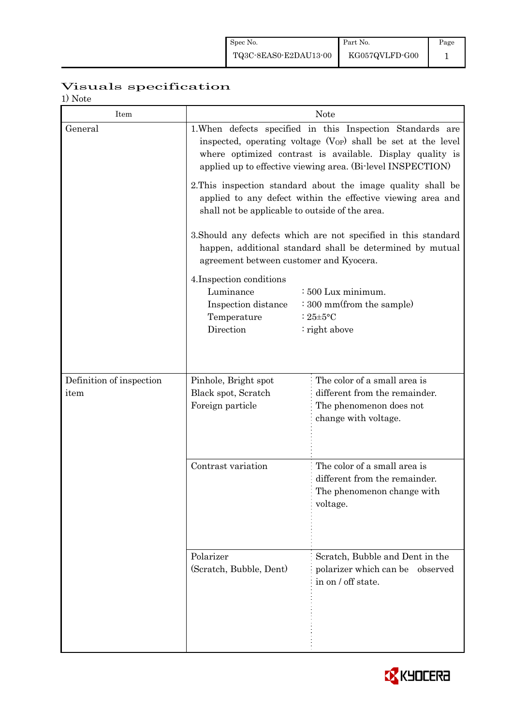# Visuals specification

| <b>Note</b> |  |
|-------------|--|
|-------------|--|

| Item                             | <b>Note</b>                                                                                                                                                                                                                                                                                                                                                                                                                                                                                                                                                                                                                                                                                                                                                                                                |                                                                                                         |  |  |  |  |  |
|----------------------------------|------------------------------------------------------------------------------------------------------------------------------------------------------------------------------------------------------------------------------------------------------------------------------------------------------------------------------------------------------------------------------------------------------------------------------------------------------------------------------------------------------------------------------------------------------------------------------------------------------------------------------------------------------------------------------------------------------------------------------------------------------------------------------------------------------------|---------------------------------------------------------------------------------------------------------|--|--|--|--|--|
| General                          | 1. When defects specified in this Inspection Standards are<br>inspected, operating voltage $(V_{OP})$ shall be set at the level<br>where optimized contrast is available. Display quality is<br>applied up to effective viewing area. (Bi-level INSPECTION)<br>2. This inspection standard about the image quality shall be<br>applied to any defect within the effective viewing area and<br>shall not be applicable to outside of the area.<br>3. Should any defects which are not specified in this standard<br>happen, additional standard shall be determined by mutual<br>agreement between customer and Kyocera.<br>4. Inspection conditions<br>Luminance<br>: 500 Lux minimum.<br>: 300 mm(from the sample)<br>Inspection distance<br>Temperature<br>: $25 \pm 5$ °C<br>Direction<br>: right above |                                                                                                         |  |  |  |  |  |
|                                  |                                                                                                                                                                                                                                                                                                                                                                                                                                                                                                                                                                                                                                                                                                                                                                                                            |                                                                                                         |  |  |  |  |  |
|                                  |                                                                                                                                                                                                                                                                                                                                                                                                                                                                                                                                                                                                                                                                                                                                                                                                            |                                                                                                         |  |  |  |  |  |
|                                  |                                                                                                                                                                                                                                                                                                                                                                                                                                                                                                                                                                                                                                                                                                                                                                                                            |                                                                                                         |  |  |  |  |  |
|                                  | Pinhole, Bright spot                                                                                                                                                                                                                                                                                                                                                                                                                                                                                                                                                                                                                                                                                                                                                                                       | The color of a small area is                                                                            |  |  |  |  |  |
| Definition of inspection<br>item | Black spot, Scratch<br>Foreign particle                                                                                                                                                                                                                                                                                                                                                                                                                                                                                                                                                                                                                                                                                                                                                                    | different from the remainder.<br>The phenomenon does not<br>change with voltage.                        |  |  |  |  |  |
|                                  | Contrast variation                                                                                                                                                                                                                                                                                                                                                                                                                                                                                                                                                                                                                                                                                                                                                                                         | The color of a small area is<br>different from the remainder.<br>The phenomenon change with<br>voltage. |  |  |  |  |  |
|                                  | Polarizer<br>(Scratch, Bubble, Dent)                                                                                                                                                                                                                                                                                                                                                                                                                                                                                                                                                                                                                                                                                                                                                                       | Scratch, Bubble and Dent in the<br>polarizer which can be<br>observed<br>in on / off state.             |  |  |  |  |  |

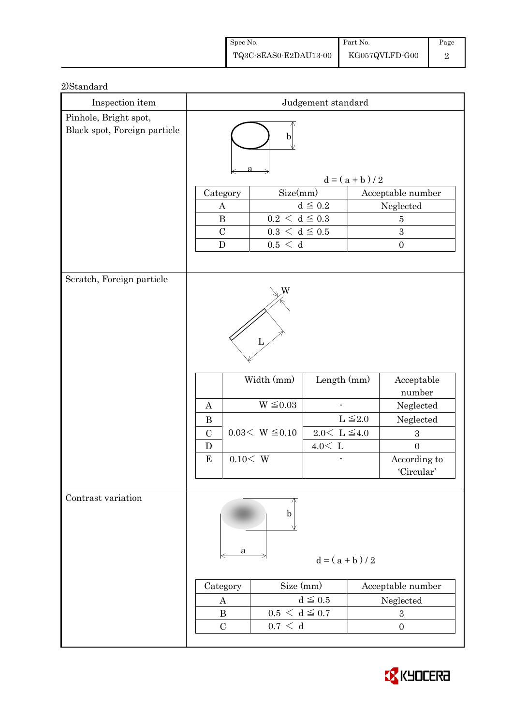| Spec No.              | Part No.       | Page |
|-----------------------|----------------|------|
| TQ3C-8EAS0-E2DAU13-00 | KG057QVLFD-G00 |      |

| 2)Standard |
|------------|
|------------|

| Inspection item              | Judgement standard                           |                             |                                         |                  |                                    |  |  |
|------------------------------|----------------------------------------------|-----------------------------|-----------------------------------------|------------------|------------------------------------|--|--|
| Pinhole, Bright spot,        |                                              |                             |                                         |                  |                                    |  |  |
| Black spot, Foreign particle | b                                            |                             |                                         |                  |                                    |  |  |
|                              | $d = (a + b)/2$                              |                             |                                         |                  |                                    |  |  |
|                              | Size(mm)<br>Acceptable number<br>Category    |                             |                                         |                  |                                    |  |  |
|                              | A                                            |                             | $d \leq 0.2$                            |                  | Neglected                          |  |  |
|                              | $\bf{B}$                                     | $0.2\,<\,\mathrm{d}\leq0.3$ |                                         |                  | $\overline{5}$                     |  |  |
|                              | $\mathcal{C}$                                |                             | $0.3\,<\,\mathrm{d}\leq0.5$             |                  | 3                                  |  |  |
|                              | $\mathbf D$                                  | 0.5 < d                     |                                         |                  | $\boldsymbol{0}$                   |  |  |
|                              |                                              |                             |                                         |                  |                                    |  |  |
| Scratch, Foreign particle    | W                                            |                             |                                         |                  |                                    |  |  |
|                              | L<br>Width (mm)<br>Length (mm)<br>Acceptable |                             |                                         |                  |                                    |  |  |
|                              |                                              |                             |                                         |                  | number                             |  |  |
|                              | A                                            | $W \leq 0.03$               |                                         |                  | Neglected                          |  |  |
|                              | $\bf{B}$<br>$\mathcal{C}$                    | $0.03< W \leq 0.10$         |                                         | $L \leq 2.0$     | Neglected                          |  |  |
|                              | D                                            |                             | $2.0\leq\,$ L $\leq\!4.0$<br>$4.0<\,$ L |                  | $\boldsymbol{3}$<br>$\overline{0}$ |  |  |
|                              | ${\bf E}$                                    | 0.10< W                     |                                         |                  | According to                       |  |  |
|                              |                                              |                             |                                         |                  | 'Circular'                         |  |  |
|                              |                                              |                             |                                         |                  |                                    |  |  |
| Contrast variation           | b<br>a<br>$d = (a + b)/2$                    |                             |                                         |                  |                                    |  |  |
|                              | Size (mm)<br>Category<br>Acceptable number   |                             |                                         |                  |                                    |  |  |
|                              | A                                            |                             | $d \leq 0.5$                            | Neglected        |                                    |  |  |
|                              | $0.5 < d \leq 0.7$<br>$\bf{B}$               |                             |                                         | $\boldsymbol{3}$ |                                    |  |  |
|                              | $\mathcal{C}$                                | 0.7 < d                     |                                         |                  | $\boldsymbol{0}$                   |  |  |
|                              |                                              |                             |                                         |                  |                                    |  |  |

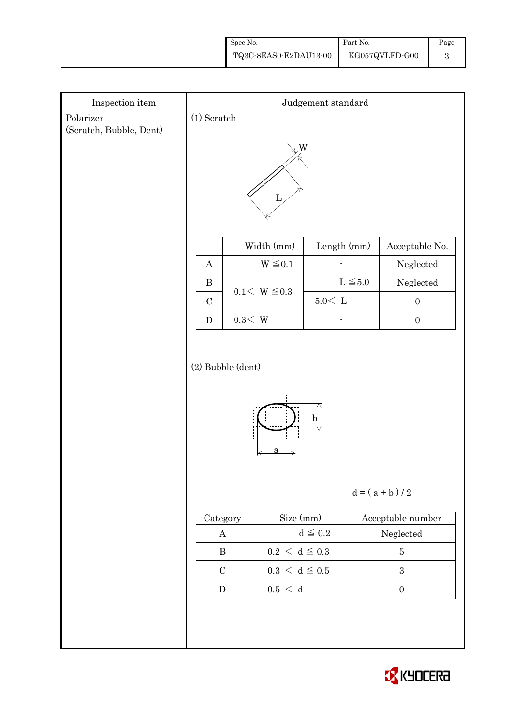| Spec No.              | Part No.       | Page |
|-----------------------|----------------|------|
| TQ3C-8EAS0-E2DAU13-00 | KG057QVLFD-G00 |      |

| Inspection item                      | Judgement standard                                                                                             |                |                   |               |                   |                  |  |
|--------------------------------------|----------------------------------------------------------------------------------------------------------------|----------------|-------------------|---------------|-------------------|------------------|--|
| Polarizer<br>(Scratch, Bubble, Dent) | $(1)$ Scratch                                                                                                  |                |                   |               |                   |                  |  |
|                                      | W<br>L                                                                                                         |                |                   |               |                   |                  |  |
|                                      |                                                                                                                |                | Width (mm)        | Length (mm)   |                   | Acceptable No.   |  |
|                                      | $\boldsymbol{A}$                                                                                               |                | $W \leq 0.1$      |               |                   | Neglected        |  |
|                                      | $\bf{B}$                                                                                                       |                | $0.1 < W \le 0.3$ |               | $L \leq 5.0$      | Neglected        |  |
|                                      | $\mathbf C$                                                                                                    |                |                   | $5.0\rm <\ L$ |                   | $\boldsymbol{0}$ |  |
|                                      | $\mathbf D$                                                                                                    | $0.3\rm\!<\,W$ |                   |               |                   | $\boldsymbol{0}$ |  |
|                                      | (2) Bubble (dent)<br>$\mathbf{b}$<br>$d = (a + b) / 2$                                                         |                |                   |               |                   |                  |  |
|                                      | $\rm Size\ (mm)$<br>Category                                                                                   |                |                   |               | Acceptable number |                  |  |
|                                      | $d \leqq 0.2$<br>$\bf{A}$<br>$\, {\bf B}$<br>$0.2 \le d \le 0.3$<br>$0.3\,<\,\mathrm{d}\leq0.5$<br>$\mathbf C$ |                |                   |               | ${\bf Neglected}$ |                  |  |
|                                      |                                                                                                                |                |                   |               |                   | $\bf 5$          |  |
|                                      |                                                                                                                |                |                   |               |                   | $\sqrt{3}$       |  |
|                                      | $0.5\,<\,$ d<br>${\bf D}$<br>$\boldsymbol{0}$                                                                  |                |                   |               |                   |                  |  |
|                                      |                                                                                                                |                |                   |               |                   |                  |  |